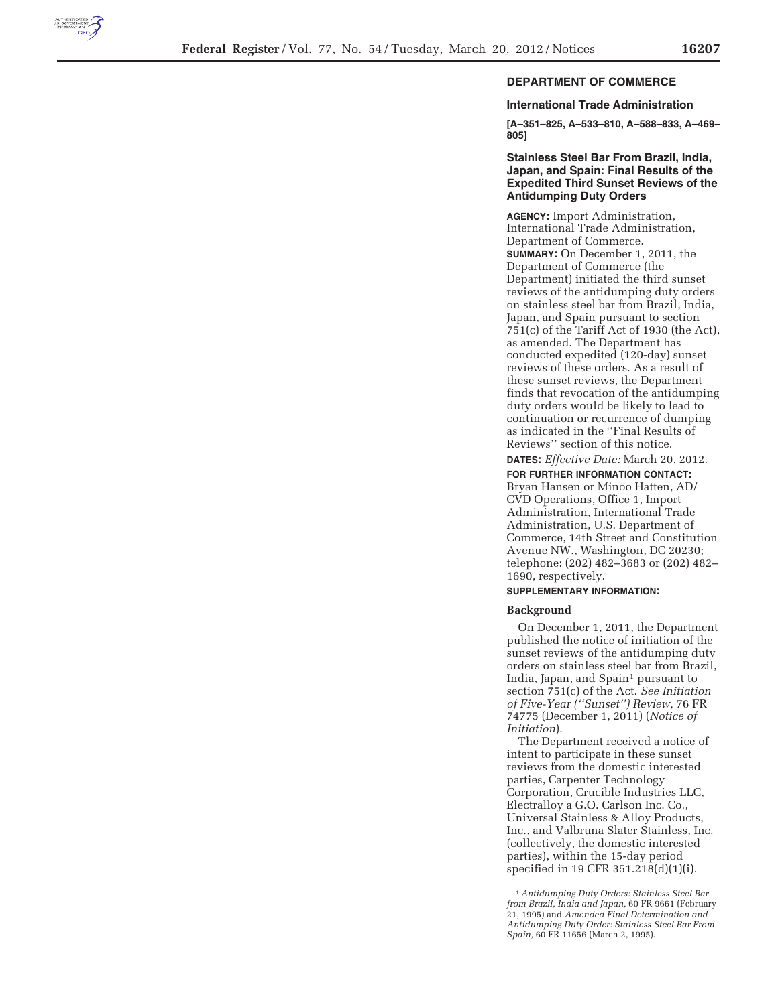

# **DEPARTMENT OF COMMERCE**

#### **International Trade Administration**

**[A–351–825, A–533–810, A–588–833, A–469– 805]** 

## **Stainless Steel Bar From Brazil, India, Japan, and Spain: Final Results of the Expedited Third Sunset Reviews of the Antidumping Duty Orders**

**AGENCY:** Import Administration, International Trade Administration, Department of Commerce. **SUMMARY:** On December 1, 2011, the Department of Commerce (the Department) initiated the third sunset reviews of the antidumping duty orders on stainless steel bar from Brazil, India, Japan, and Spain pursuant to section 751(c) of the Tariff Act of 1930 (the Act), as amended. The Department has conducted expedited (120-day) sunset reviews of these orders. As a result of these sunset reviews, the Department finds that revocation of the antidumping duty orders would be likely to lead to continuation or recurrence of dumping as indicated in the ''Final Results of Reviews'' section of this notice.

**DATES:** *Effective Date:* March 20, 2012.

**FOR FURTHER INFORMATION CONTACT:**  Bryan Hansen or Minoo Hatten, AD/ CVD Operations, Office 1, Import Administration, International Trade Administration, U.S. Department of Commerce, 14th Street and Constitution Avenue NW., Washington, DC 20230; telephone: (202) 482–3683 or (202) 482– 1690, respectively.

## **SUPPLEMENTARY INFORMATION:**

#### **Background**

On December 1, 2011, the Department published the notice of initiation of the sunset reviews of the antidumping duty orders on stainless steel bar from Brazil, India, Japan, and Spain<sup>1</sup> pursuant to section 751(c) of the Act. *See Initiation of Five-Year (''Sunset'') Review,* 76 FR 74775 (December 1, 2011) (*Notice of Initiation*).

The Department received a notice of intent to participate in these sunset reviews from the domestic interested parties, Carpenter Technology Corporation, Crucible Industries LLC, Electralloy a G.O. Carlson Inc. Co., Universal Stainless & Alloy Products, Inc., and Valbruna Slater Stainless, Inc. (collectively, the domestic interested parties), within the 15-day period specified in 19 CFR 351.218(d)(1)(i).

<sup>1</sup>*Antidumping Duty Orders: Stainless Steel Bar from Brazil, India and Japan,* 60 FR 9661 (February 21, 1995) and *Amended Final Determination and Antidumping Duty Order: Stainless Steel Bar From Spain,* 60 FR 11656 (March 2, 1995).